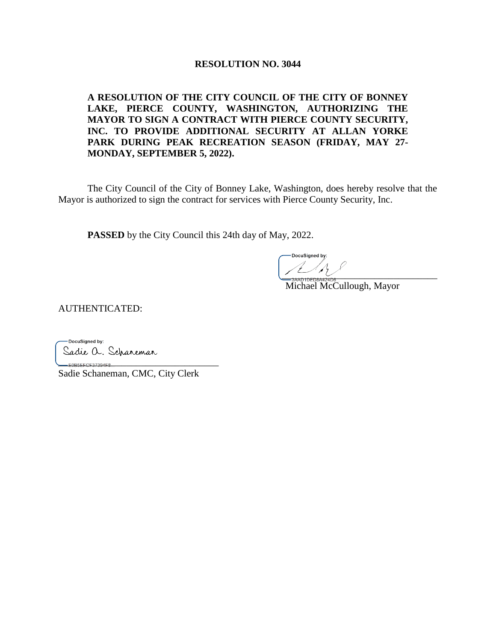### **RESOLUTION NO. 3044**

**A RESOLUTION OF THE CITY COUNCIL OF THE CITY OF BONNEY LAKE, PIERCE COUNTY, WASHINGTON, AUTHORIZING THE MAYOR TO SIGN A CONTRACT WITH PIERCE COUNTY SECURITY, INC. TO PROVIDE ADDITIONAL SECURITY AT ALLAN YORKE PARK DURING PEAK RECREATION SEASON (FRIDAY, MAY 27- MONDAY, SEPTEMBER 5, 2022).** 

The City Council of the City of Bonney Lake, Washington, does hereby resolve that the Mayor is authorized to sign the contract for services with Pierce County Security, Inc.

**PASSED** by the City Council this 24th day of May, 2022.

DocuSianed by \_\_\_\_\_\_\_\_\_\_\_\_\_\_\_\_\_\_\_\_\_\_\_\_\_\_\_\_\_\_\_\_

Michael McCullough, Mayor

AUTHENTICATED:

-DocuSigned by: Sadie a. Scharemar

\_\_\_\_\_\_\_\_\_\_\_\_\_\_\_\_\_\_\_\_\_\_\_\_\_\_\_\_\_\_\_\_\_ Sadie Schaneman, CMC, City Clerk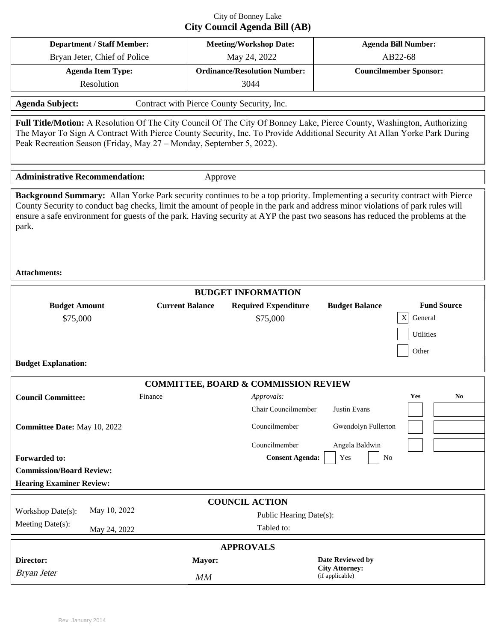## City of Bonney Lake **City Council Agenda Bill (AB)**

| <b>Department / Staff Member:</b>                                                                                                                                                                                                                                                                                                                                                                                            | <b>Meeting/Workshop Date:</b>                   |                                         | <b>Agenda Bill Number:</b>               |                                                     |  |  |  |  |  |
|------------------------------------------------------------------------------------------------------------------------------------------------------------------------------------------------------------------------------------------------------------------------------------------------------------------------------------------------------------------------------------------------------------------------------|-------------------------------------------------|-----------------------------------------|------------------------------------------|-----------------------------------------------------|--|--|--|--|--|
| Bryan Jeter, Chief of Police                                                                                                                                                                                                                                                                                                                                                                                                 | May 24, 2022                                    |                                         | AB22-68                                  |                                                     |  |  |  |  |  |
| <b>Agenda Item Type:</b>                                                                                                                                                                                                                                                                                                                                                                                                     | <b>Ordinance/Resolution Number:</b>             |                                         | <b>Councilmember Sponsor:</b>            |                                                     |  |  |  |  |  |
| Resolution                                                                                                                                                                                                                                                                                                                                                                                                                   | 3044                                            |                                         |                                          |                                                     |  |  |  |  |  |
| <b>Agenda Subject:</b><br>Contract with Pierce County Security, Inc.                                                                                                                                                                                                                                                                                                                                                         |                                                 |                                         |                                          |                                                     |  |  |  |  |  |
| Full Title/Motion: A Resolution Of The City Council Of The City Of Bonney Lake, Pierce County, Washington, Authorizing<br>The Mayor To Sign A Contract With Pierce County Security, Inc. To Provide Additional Security At Allan Yorke Park During<br>Peak Recreation Season (Friday, May 27 - Monday, September 5, 2022).                                                                                                   |                                                 |                                         |                                          |                                                     |  |  |  |  |  |
| <b>Administrative Recommendation:</b><br>Approve                                                                                                                                                                                                                                                                                                                                                                             |                                                 |                                         |                                          |                                                     |  |  |  |  |  |
| Background Summary: Allan Yorke Park security continues to be a top priority. Implementing a security contract with Pierce<br>County Security to conduct bag checks, limit the amount of people in the park and address minor violations of park rules will<br>ensure a safe environment for guests of the park. Having security at AYP the past two seasons has reduced the problems at the<br>park.<br><b>Attachments:</b> |                                                 |                                         |                                          |                                                     |  |  |  |  |  |
|                                                                                                                                                                                                                                                                                                                                                                                                                              | <b>BUDGET INFORMATION</b>                       |                                         |                                          |                                                     |  |  |  |  |  |
| <b>Budget Amount</b><br>\$75,000<br><b>Budget Explanation:</b>                                                                                                                                                                                                                                                                                                                                                               | <b>Current Balance</b>                          | <b>Required Expenditure</b><br>\$75,000 | <b>Budget Balance</b><br>Х               | <b>Fund Source</b><br>General<br>Utilities<br>Other |  |  |  |  |  |
|                                                                                                                                                                                                                                                                                                                                                                                                                              |                                                 |                                         |                                          |                                                     |  |  |  |  |  |
|                                                                                                                                                                                                                                                                                                                                                                                                                              | <b>COMMITTEE, BOARD &amp; COMMISSION REVIEW</b> |                                         |                                          |                                                     |  |  |  |  |  |
| <b>Council Committee:</b><br>Finance                                                                                                                                                                                                                                                                                                                                                                                         |                                                 | <i>Approvals:</i>                       |                                          | Yes<br>N <sub>0</sub>                               |  |  |  |  |  |
|                                                                                                                                                                                                                                                                                                                                                                                                                              |                                                 | Chair Councilmember                     | Justin Evans                             |                                                     |  |  |  |  |  |
| Committee Date: May 10, 2022                                                                                                                                                                                                                                                                                                                                                                                                 |                                                 | Councilmember                           | Gwendolyn Fullerton                      |                                                     |  |  |  |  |  |
| <b>Forwarded to:</b><br><b>Commission/Board Review:</b><br><b>Hearing Examiner Review:</b>                                                                                                                                                                                                                                                                                                                                   |                                                 | Councilmember<br><b>Consent Agenda:</b> | Angela Baldwin<br>Yes<br>No              |                                                     |  |  |  |  |  |
|                                                                                                                                                                                                                                                                                                                                                                                                                              | <b>COUNCIL ACTION</b>                           |                                         |                                          |                                                     |  |  |  |  |  |
| May 10, 2022<br>Workshop Date(s):                                                                                                                                                                                                                                                                                                                                                                                            |                                                 | Public Hearing Date(s):                 |                                          |                                                     |  |  |  |  |  |
| Meeting Date(s):<br>May 24, 2022                                                                                                                                                                                                                                                                                                                                                                                             |                                                 | Tabled to:                              |                                          |                                                     |  |  |  |  |  |
| <b>APPROVALS</b>                                                                                                                                                                                                                                                                                                                                                                                                             |                                                 |                                         |                                          |                                                     |  |  |  |  |  |
| Director:                                                                                                                                                                                                                                                                                                                                                                                                                    | Mayor:                                          |                                         | Date Reviewed by                         |                                                     |  |  |  |  |  |
| <b>Bryan Jeter</b>                                                                                                                                                                                                                                                                                                                                                                                                           | MM                                              |                                         | <b>City Attorney:</b><br>(if applicable) |                                                     |  |  |  |  |  |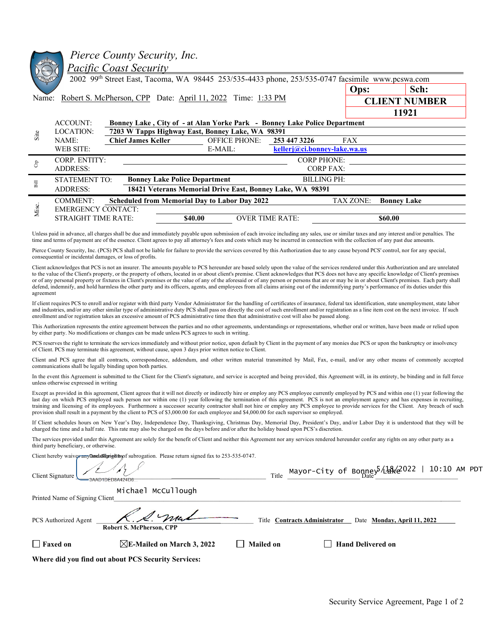|                                                                                                                                                                                                                                                                                                                                                                                | Pierce County Security, Inc.<br><u> Pacific Coast Security</u><br>2002 99th Street East, Tacoma, WA 98445 253/535-4433 phone, 253/535-0747 facsimile www.pcswa.com                                                                                                                                                                                                                                                                                                                                                                                                                                                                                                                                                                                                                          |                                                                           |                        |                      |      |  |  |  |  |
|--------------------------------------------------------------------------------------------------------------------------------------------------------------------------------------------------------------------------------------------------------------------------------------------------------------------------------------------------------------------------------|---------------------------------------------------------------------------------------------------------------------------------------------------------------------------------------------------------------------------------------------------------------------------------------------------------------------------------------------------------------------------------------------------------------------------------------------------------------------------------------------------------------------------------------------------------------------------------------------------------------------------------------------------------------------------------------------------------------------------------------------------------------------------------------------|---------------------------------------------------------------------------|------------------------|----------------------|------|--|--|--|--|
|                                                                                                                                                                                                                                                                                                                                                                                |                                                                                                                                                                                                                                                                                                                                                                                                                                                                                                                                                                                                                                                                                                                                                                                             |                                                                           |                        | Ops:                 | Sch: |  |  |  |  |
| Robert S. McPherson, CPP Date: April 11, 2022 Time: 1:33 PM<br>Name:                                                                                                                                                                                                                                                                                                           |                                                                                                                                                                                                                                                                                                                                                                                                                                                                                                                                                                                                                                                                                                                                                                                             |                                                                           |                        | <b>CLIENT NUMBER</b> |      |  |  |  |  |
|                                                                                                                                                                                                                                                                                                                                                                                |                                                                                                                                                                                                                                                                                                                                                                                                                                                                                                                                                                                                                                                                                                                                                                                             | 11921                                                                     |                        |                      |      |  |  |  |  |
|                                                                                                                                                                                                                                                                                                                                                                                | <b>ACCOUNT:</b>                                                                                                                                                                                                                                                                                                                                                                                                                                                                                                                                                                                                                                                                                                                                                                             | Bonney Lake, City of - at Alan Yorke Park - Bonney Lake Police Department |                        |                      |      |  |  |  |  |
| Site                                                                                                                                                                                                                                                                                                                                                                           | <b>LOCATION:</b>                                                                                                                                                                                                                                                                                                                                                                                                                                                                                                                                                                                                                                                                                                                                                                            | 7203 W Tapps Highway East, Bonney Lake, WA 98391                          |                        |                      |      |  |  |  |  |
|                                                                                                                                                                                                                                                                                                                                                                                | <b>Chief James Keller</b><br>NAME:                                                                                                                                                                                                                                                                                                                                                                                                                                                                                                                                                                                                                                                                                                                                                          | <b>OFFICE PHONE:</b>                                                      | 253 447 3226           | <b>FAX</b>           |      |  |  |  |  |
|                                                                                                                                                                                                                                                                                                                                                                                | <b>WEB SITE:</b>                                                                                                                                                                                                                                                                                                                                                                                                                                                                                                                                                                                                                                                                                                                                                                            | kellerj@ci.bonney-lake.wa.us                                              |                        |                      |      |  |  |  |  |
|                                                                                                                                                                                                                                                                                                                                                                                | CORP. ENTITY:                                                                                                                                                                                                                                                                                                                                                                                                                                                                                                                                                                                                                                                                                                                                                                               | <b>CORP PHONE:</b>                                                        |                        |                      |      |  |  |  |  |
| $\rm{g}$                                                                                                                                                                                                                                                                                                                                                                       | <b>ADDRESS:</b>                                                                                                                                                                                                                                                                                                                                                                                                                                                                                                                                                                                                                                                                                                                                                                             |                                                                           | <b>CORP FAX:</b>       |                      |      |  |  |  |  |
| $_{\rm{Bill}}$                                                                                                                                                                                                                                                                                                                                                                 | <b>Bonney Lake Police Department</b><br><b>STATEMENT TO:</b>                                                                                                                                                                                                                                                                                                                                                                                                                                                                                                                                                                                                                                                                                                                                | <b>BILLING PH:</b>                                                        |                        |                      |      |  |  |  |  |
|                                                                                                                                                                                                                                                                                                                                                                                | 18421 Veterans Memorial Drive East, Bonney Lake, WA 98391<br><b>ADDRESS:</b>                                                                                                                                                                                                                                                                                                                                                                                                                                                                                                                                                                                                                                                                                                                |                                                                           |                        |                      |      |  |  |  |  |
|                                                                                                                                                                                                                                                                                                                                                                                | <b>COMMENT:</b><br><b>Scheduled from Memorial Day to Labor Day 2022</b>                                                                                                                                                                                                                                                                                                                                                                                                                                                                                                                                                                                                                                                                                                                     | <b>TAX ZONE:</b><br><b>Bonney Lake</b>                                    |                        |                      |      |  |  |  |  |
| Misc.                                                                                                                                                                                                                                                                                                                                                                          | <b>EMERGENCY CONTACT:</b>                                                                                                                                                                                                                                                                                                                                                                                                                                                                                                                                                                                                                                                                                                                                                                   |                                                                           |                        |                      |      |  |  |  |  |
|                                                                                                                                                                                                                                                                                                                                                                                | <b>STRAIGHT TIME RATE:</b>                                                                                                                                                                                                                                                                                                                                                                                                                                                                                                                                                                                                                                                                                                                                                                  | \$40.00                                                                   | <b>OVER TIME RATE:</b> | \$60.00              |      |  |  |  |  |
| Unless paid in advance, all charges shall be due and immediately payable upon submission of each invoice including any sales, use or similar taxes and any interest and/or penalties. The<br>time and terms of payment are of the essence. Client agrees to pay all attorney's fees and costs which may be incurred in connection with the collection of any past due amounts. |                                                                                                                                                                                                                                                                                                                                                                                                                                                                                                                                                                                                                                                                                                                                                                                             |                                                                           |                        |                      |      |  |  |  |  |
| Pierce County Security, Inc. (PCS) PCS shall not be liable for failure to provide the services covered by this Authorization due to any cause beyond PCS' control, nor for any special,<br>consequential or incidental damages, or loss of profits.                                                                                                                            |                                                                                                                                                                                                                                                                                                                                                                                                                                                                                                                                                                                                                                                                                                                                                                                             |                                                                           |                        |                      |      |  |  |  |  |
| agreement                                                                                                                                                                                                                                                                                                                                                                      | Client acknowledges that PCS is not an insurer. The amounts payable to PCS hereunder are based solely upon the value of the services rendered under this Authorization and are unrelated<br>to the value of the Client's property, or the property of others, located in or about client's premise. Client acknowledges that PCS does not have any specific knowledge of Client's premises<br>or of any personal property or fixtures in Client's premises or the value of any of the aforesaid or of any person or persons that are or may be in or about Client's premises. Each party shall<br>defend, indemnify, and hold harmless the other party and its officers, agents, and employees from all claims arising out of the indemnifying party's performance of its duties under this |                                                                           |                        |                      |      |  |  |  |  |
|                                                                                                                                                                                                                                                                                                                                                                                | If client requires PCS to enroll and/or register with third party Vendor Administrator for the handling of certificates of insurance, federal tax identification, state unemployment, state labor<br>and industries, and/or any other similar type of administrative duty PCS shall pass on directly the cost of such enrollment and/or registration as a line item cost on the next invoice. If such<br>enrollment and/or registration takes an excessive amount of PCS administrative time then that administrative cost will also be passed along.                                                                                                                                                                                                                                       |                                                                           |                        |                      |      |  |  |  |  |

This Authorization represents the entire agreement between the parties and no other agreements, understandings or representations, whether oral or written, have been made or relied upon by either party. No modifications or changes can be made unless PCS agrees to such in writing.

PCS reserves the right to terminate the services immediately and without prior notice, upon default by Client in the payment of any monies due PCS or upon the bankruptcy or insolvency of Client. PCS may terminate this agreement, without cause, upon 3 days prior written notice to Client.

Client and PCS agree that all contracts, correspondence, addendum, and other written material transmitted by Mail, Fax, e-mail, and/or any other means of commonly accepted communications shall be legally binding upon both parties.

In the event this Agreement is submitted to the Client for the Client's signature, and service is accepted and being provided, this Agreement will, in its entirety, be binding and in full force unless otherwise expressed in writing

Except as provided in this agreement, Client agrees that it will not directly or indirectly hire or employ any PCS employee currently employed by PCS and within one (1) year following the last day on which PCS employed such person nor within one (1) year following the termination of this agreement. PCS is not an employment agency and has expenses in recruiting, training and licensing of its employees. Furthermore a successor security contractor shall not hire or employ any PCS employee to provide services for the Client. Any breach of such provision shall result in a payment by the client to PCS of \$3,000.00 for each employee and \$4,000.00 for each supervisor so employed.

If Client schedules hours on New Year's Day, Independence Day, Thanksgiving, Christmas Day, Memorial Day, President's Day, and/or Labor Day it is understood that they will be charged the time and a half rate. This rate may also be charged on the days before and/or after the holiday based upon PCS's discretion.

The services provided under this Agreement are solely for the benefit of Client and neither this Agreement nor any services rendered hereunder confer any rights on any other party as a third party beneficiary, or otherwise.

Client hereby waives any **Docusion ed by** subrogation. Please return signed fax to 253-535-0747.

| Client Signature               |                                                     | Title                         | Mayor-City of Bonney 14%2022   10:10 AM PDT |  |
|--------------------------------|-----------------------------------------------------|-------------------------------|---------------------------------------------|--|
| Printed Name of Signing Client | Michael McCullough                                  |                               |                                             |  |
| PCS Authorized Agent           | 2. mal<br>Robert S. McPherson, CPP                  | Title Contracts Administrator | Date Monday, April 11, 2022                 |  |
| $\Box$ Faxed on                | $\boxtimes$ E-Mailed on March 3, 2022               | Mailed on                     | <b>Hand Delivered on</b>                    |  |
|                                | Whore did you find out about PCS Sequrity Services: |                               |                                             |  |

**Where did you find out about PCS Security Services:** 

 $\overline{\mathcal{A}}$